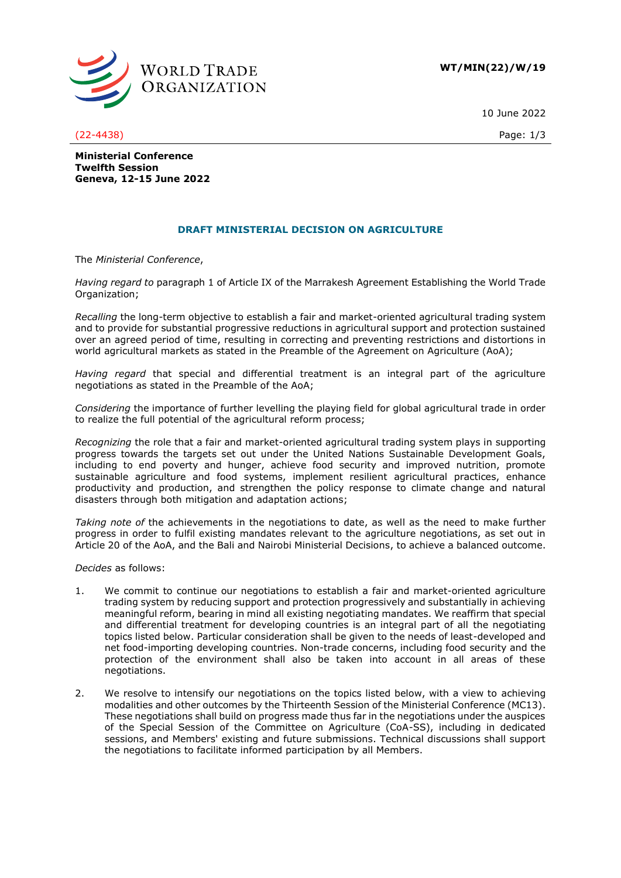

10 June 2022

(22-4438) Page: 1/3

**Ministerial Conference Twelfth Session Geneva, 12-15 June 2022**

# **DRAFT MINISTERIAL DECISION ON AGRICULTURE**

The *Ministerial Conference*,

*Having regard to* paragraph 1 of Article IX of the Marrakesh Agreement Establishing the World Trade Organization;

*Recalling* the long-term objective to establish a fair and market-oriented agricultural trading system and to provide for substantial progressive reductions in agricultural support and protection sustained over an agreed period of time, resulting in correcting and preventing restrictions and distortions in world agricultural markets as stated in the Preamble of the Agreement on Agriculture (AoA);

*Having regard* that special and differential treatment is an integral part of the agriculture negotiations as stated in the Preamble of the AoA;

*Considering* the importance of further levelling the playing field for global agricultural trade in order to realize the full potential of the agricultural reform process;

*Recognizing* the role that a fair and market-oriented agricultural trading system plays in supporting progress towards the targets set out under the United Nations Sustainable Development Goals, including to end poverty and hunger, achieve food security and improved nutrition, promote sustainable agriculture and food systems, implement resilient agricultural practices, enhance productivity and production, and strengthen the policy response to climate change and natural disasters through both mitigation and adaptation actions;

*Taking note of* the achievements in the negotiations to date, as well as the need to make further progress in order to fulfil existing mandates relevant to the agriculture negotiations, as set out in Article 20 of the AoA, and the Bali and Nairobi Ministerial Decisions, to achieve a balanced outcome.

*Decides* as follows:

- 1. We commit to continue our negotiations to establish a fair and market-oriented agriculture trading system by reducing support and protection progressively and substantially in achieving meaningful reform, bearing in mind all existing negotiating mandates. We reaffirm that special and differential treatment for developing countries is an integral part of all the negotiating topics listed below. Particular consideration shall be given to the needs of least-developed and net food-importing developing countries. Non-trade concerns, including food security and the protection of the environment shall also be taken into account in all areas of these negotiations.
- 2. We resolve to intensify our negotiations on the topics listed below, with a view to achieving modalities and other outcomes by the Thirteenth Session of the Ministerial Conference (MC13). These negotiations shall build on progress made thus far in the negotiations under the auspices of the Special Session of the Committee on Agriculture (CoA-SS), including in dedicated sessions, and Members' existing and future submissions. Technical discussions shall support the negotiations to facilitate informed participation by all Members.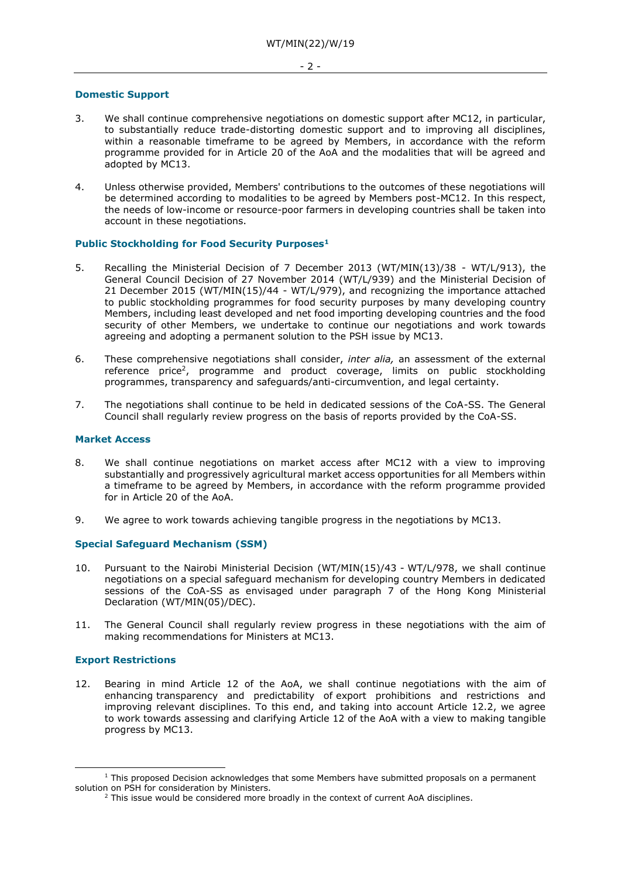#### **Domestic Support**

- 3. We shall continue comprehensive negotiations on domestic support after MC12, in particular, to substantially reduce trade-distorting domestic support and to improving all disciplines, within a reasonable timeframe to be agreed by Members, in accordance with the reform programme provided for in Article 20 of the AoA and the modalities that will be agreed and adopted by MC13.
- 4. Unless otherwise provided, Members' contributions to the outcomes of these negotiations will be determined according to modalities to be agreed by Members post-MC12. In this respect, the needs of low-income or resource-poor farmers in developing countries shall be taken into account in these negotiations.

### **Public Stockholding for Food Security Purposes<sup>1</sup>**

- 5. Recalling the Ministerial Decision of 7 December 2013 (WT/MIN(13)/38 WT/L/913), the General Council Decision of 27 November 2014 (WT/L/939) and the Ministerial Decision of 21 December 2015 (WT/MIN(15)/44 - WT/L/979), and recognizing the importance attached to public stockholding programmes for food security purposes by many developing country Members, including least developed and net food importing developing countries and the food security of other Members, we undertake to continue our negotiations and work towards agreeing and adopting a permanent solution to the PSH issue by MC13.
- 6. These comprehensive negotiations shall consider, *inter alia,* an assessment of the external reference price<sup>2</sup>, programme and product coverage, limits on public stockholding programmes, transparency and safeguards/anti-circumvention, and legal certainty.
- 7. The negotiations shall continue to be held in dedicated sessions of the CoA-SS. The General Council shall regularly review progress on the basis of reports provided by the CoA-SS.

#### **Market Access**

- 8. We shall continue negotiations on market access after MC12 with a view to improving substantially and progressively agricultural market access opportunities for all Members within a timeframe to be agreed by Members, in accordance with the reform programme provided for in Article 20 of the AoA.
- 9. We agree to work towards achieving tangible progress in the negotiations by MC13.

# **Special Safeguard Mechanism (SSM)**

- 10. Pursuant to the Nairobi Ministerial Decision (WT/MIN(15)/43 WT/L/978, we shall continue negotiations on a special safeguard mechanism for developing country Members in dedicated sessions of the CoA-SS as envisaged under paragraph 7 of the Hong Kong Ministerial Declaration (WT/MIN(05)/DEC).
- 11. The General Council shall regularly review progress in these negotiations with the aim of making recommendations for Ministers at MC13.

#### **Export Restrictions**

12. Bearing in mind Article 12 of the AoA, we shall continue negotiations with the aim of enhancing transparency and predictability of export prohibitions and restrictions and improving relevant disciplines. To this end, and taking into account Article 12.2, we agree to work towards assessing and clarifying Article 12 of the AoA with a view to making tangible progress by MC13.

 $1$  This proposed Decision acknowledges that some Members have submitted proposals on a permanent solution on PSH for consideration by Ministers.

<sup>&</sup>lt;sup>2</sup> This issue would be considered more broadly in the context of current AoA disciplines.